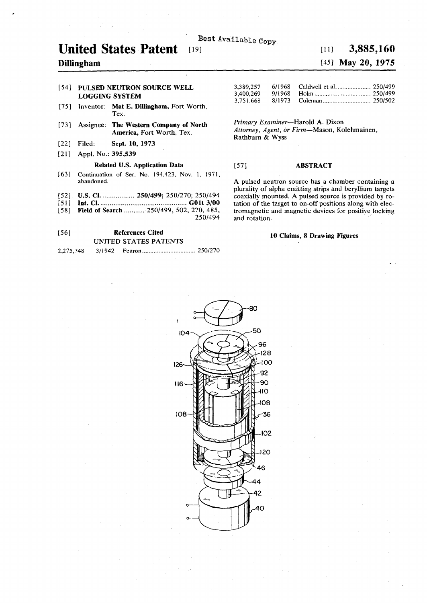# **Best** Available **Copy**

# **United States Patent**

## **Dillingham**

### **[54] PULSED NEUTRON SOURCE WELL LOGGING SYSTEM**

- **[75]** Inventor: **Mat E. Dillingham,** Fort Worth, Tex.
- [73] Assignee: **The Western Company of North America,** Fort Worth, Tex.
- **[22] Filed: Sept. 10, 1973**
- [21] Appl. No.: 395,539

#### **Related U.S. Application Data**

- [63] Continuation of Ser. No. 194,423, Nov. 1, 1971, abandoned.
- [52]. **U.S. CI.** ...................... **250/499;** 250/270; 250/494
- **[51] Int. CI GO It 3/00**
- [58] **Field of Search ..........** 250/499, 502, 270, 485,

## **[56] References Cited**  UNITED STATES PATENTS

| 2,275,748 |  |
|-----------|--|
|           |  |

# $[19]$  **3,885,160**

## **[45] May 20, 1975**

| 3,389,257 |        |  |
|-----------|--------|--|
| 3,400,269 | 9/1968 |  |
| 3,751,668 |        |  |

*Primary Examiner*—Harold A. Dixon *Attorney, Agent, or Firm*—Mason, Kolehmainen, Rathburn & Wyss

### **[57] ABSTRACT**

**A** pulsed neutron source has a chamber containing a plurality of alpha emitting strips and beryllium targets coaxially mounted. **A** pulsed source is provided by rotation of the target to on-off positions along with electromagnetic and magnetic devices for positive locking and rotation.

#### **10 Claims, 8 Drawing Figures**



**250/494**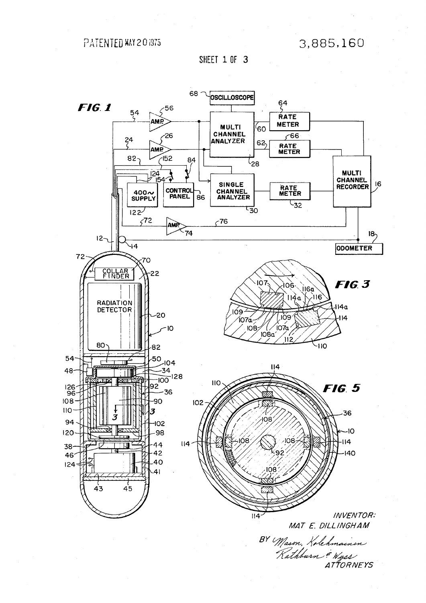PATENTED MAY 201975

3,885,160

SHEET 1 OF 3



ATTORNEYS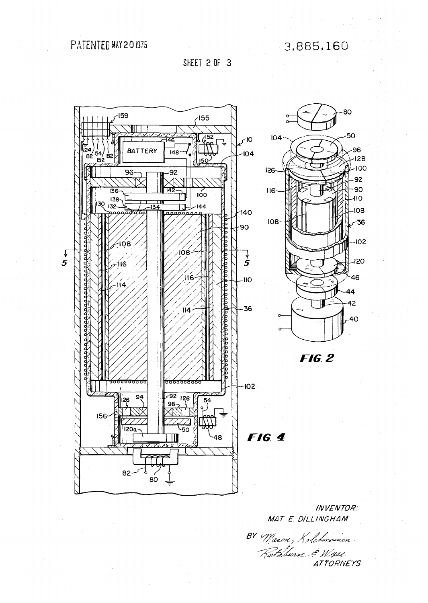3,885,160

SHEET 2 OF 3



**INVENTOR:** MAT E. DILLINGHAM

BY Mason, Kolehmainen.<br>Fathburn & Wigss. **ATTORNEYS**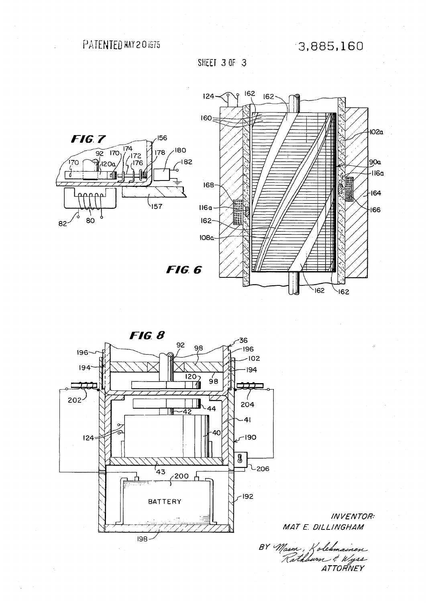PATENTED MAY 201975

3,885,160

SHEET 3 OF 3





**INVENTOR:** MAT E. DILLINGHAM

BY Mason, Kolehmainen<br>Rathburn & Wyss ATTORNEY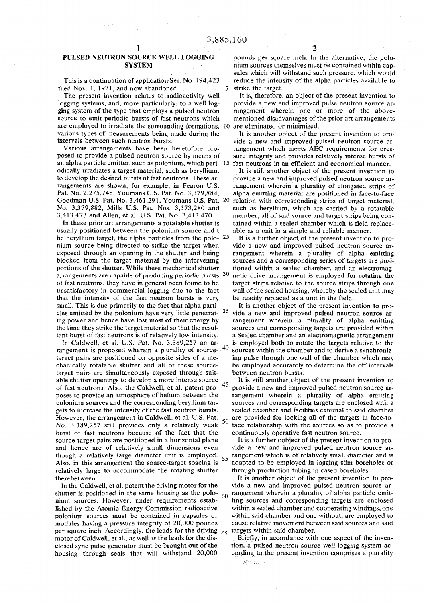الموارد والمحارب

#### PULSED NEUTRON SOURCE WELL LOGGING SYSTEM

This is a continuation of application Ser. No. 194,423 filed Nov. 1, 1971, and now abandoned. 5

The present invention relates to radioactivity well logging systems, and, more particularly, to a well logging system of the type that employs a pulsed neutron source to emit periodic bursts of fast neutrons which are employed to irradiate the surrounding formations, 10 various types of measurements being made during the intervals between such neutron bursts.

Various arrangements have been heretofore proposed to provide a pulsed neutron source by means of an alpha particle emitter, such as polonium, which peri- 15 fast neutrons in an efficient and economical manner. odically irradiates a target material, such as beryllium, to develop the desired bursts of fast neutrons. These arrangements are shown, for example, in Fearon U.S. Pat. No. 2,275,748, Youmans U.S. Pat. No. 3,379,884, Goodman U.S. Pat. No. 3,461,291, Youmans U.S. Pat. 20 No. 3,379,882, Mills U.S. Pat. Nos. 3,373,280 and 3,413,473 and Allen, et al. U.S. Pat. No. 3,413,470.

In these prior art arrangements a rotatable shutter is usually positioned between the polonium source and t he beryllium target, the alpha particles from the polo- 25 nium source being directed to strike the target when exposed through an opening in the shutter and being blocked from the target material by the intervening portions of the shutter. While these mechanical shutter arrangements are capable of producing periodic bursts  $30$ of fast neutrons, they have in general been found to be unsatisfactory in commercial logging due to the fact that the intensity of the fast neutron bursts is very small. This is due primarily to the fact that alpha particles emitted by the polonium have very little penetrat- $35$ ing power and hence have lost most of their energy by the time they strike the target material so that the resultant burst of fast neutrons is of relatively low intensity.

In Caldwell, et al. U.S. Pat. No. 3,389,257 an arrangement is proposed wherein a plurality of source- $40$ target pairs are positioned on opposite sides of a mechanically rotatable shutter and all of these sourcetarget pairs are simultaneously exposed through suitable shutter openings to develop a more intense source of fast neutrons. Also, the Caldwell, et al. patent proposes to provide an atmosphere of helium between the polonium sources and the corresponding beryllium targets to increase the intensity of the fast neutron bursts. However, the arrangement in Caldwell, et al. U.S. Pat.  $_{50}$ No. 3,389,257 still provides only a relatively weak burst of fast neutrons because of the fact that the source-target pairs are positioned in a horizontal plane and hence are of relatively small dimensions even though a relatively large diameter unit is employed. 55 Also, in this arrangement the source-target spacing is relatively large to accommodate the rotating shutter therebetween.

In the Caldwell, et al. patent the driving motor for the shutter is positioned in the same housing as the polo- $60$ nium sources. However, under requirements established by the Atomic Energy Commission radioactive polonium sources must be contained in capsules or modules having a pressure integrity of 20,000 pounds per square inch. Accordingly, the leads for the driving  $65$ motor of Caldwell, et al., as well as the leads for the disclosed sync pulse generator must be brought out of the housing through seals that will withstand 20,000

pounds per square inch. In the alternative, the polonium sources themselves must be contained within capsules which will withstand such pressure, which would reduce the intensity of the alpha particles available to strike the target.

It is, therefore, an object of the present invention to provide a new and improved pulse neutron source arrangement wherein one or more of the abovementioned disadvantages of the prior art arrangements are eliminated or minimized.

It is another object of the present invention to provide a new and improved pulsed neutron source arrangement which meets AEC requirements for pressure integrity and provides relatively intense bursts of

It is still another object of the present invention to provide a new and improved pulsed neutron source arrangement wherein a plurality of elongated strips of alpha emitting material are positioned in face-to-face relation with corresponding strips of target material, such as beryllium, which are carried by a rotatable member, all of said source and target strips being contained within a sealed chamber which is field replaceable as a unit in a simple and reliable manner.

It is a further object of the present invention to provide a new and improved pulsed neutron source arrangement wherein a plurality of alpha emitting sources and a corresponding series of targets are positioned within a sealed chamber, and an electromagnetic drive arrangement is employed for rotating the target strips relative to the source strips through one wall of the sealed housing, whereby the sealed unit may be readily replaced as a unit in the field.

It is another object of the present invention to provide a new and improved pulsed neutron source arrangement wherein a plurality of alpha emitting sources and corresponding targets are provided within a Sealed chamber and an electromagnetic arrangement is employed both to rotate the targets relative to the sources within the chamber and to derive a synchronizing pulse through one wall of the chamber which may be employed accurately to determine the off intervals between neutron bursts.

It is still another object of the present invention to 45 provide a new and improved pulsed neutron source arrangement wherein a plurality of alpha emitting sources and corresponding targets are enclosed with a sealed chamber and facilities external to said chamber are provided for locking all of the targets in face-toface relationship with the sources so as to provide a continuously operative fast neutron source.

It is a further oobject of the present invention to provide a new and improved pulsed neutron source arrangement which is of relatively small diameter and is adapted to be employed in logging slim boreholes or through production tubing in cased boreholes.

It is another object of the present invention to provide a new and improved pulsed neutron source arrangement wherein a plurality of alpha particle emitting sources and corresponding targets are enclosed within a sealed chamber and cooperating windings, one within said chamber and one without, are employed to cause relative movement between said sources and said targets within said chamber.

Briefly, in accordance with one aspect of the invention, a pulsed neutron source well logging system according to the present invention comprises a plurality

政学院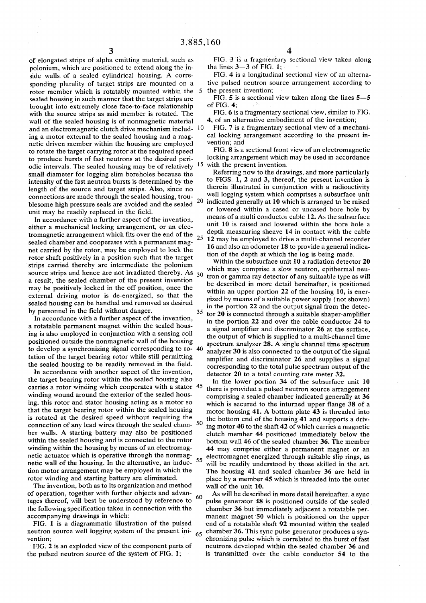of elongated strips of alpha emitting material, such as polonium, which are positioned to extend along the inside walls of a sealed cylindrical housing. A corresponding plurality of target strips are mounted on a rotor member which is rotatably mounted within the 5 sealed housing in such manner that the target strips are brought into extremely close face-to-face relationship with the source strips as said member is rotated. The wall of the sealed housing is of nonmagnetic material and an electromagnetic clutch drive mechanism includ- '0 ing a motor external to the sealed housing and a magnetic driven member within the housing are employed to rotate the target carrying rotor at the required speed to produce bursts of fast neutrons at the desired periodic intervals. The sealed housing may be of relatively small diameter for logging slim boreholes because the intensity of the fast neutron bursts is determined by the length of the source and target strips. Also, since no connections are made through the sealed housing, trou-<br>
blue match homogeneous calculation and the sealed 20 blesome high pressure seals are avoided and the sealed unit may be readily replaced in the field.

In accordance with a further aspect of the invention, either a mechanical locking arrangement, or an electromagnetic arrangement which fits over the end of the  $_{25}$ sealed chamber and cooperates with a permanent magnet carried by the rotor, may be employed to lock the rotor shaft positively in a position such that the target strips carried thereby are intermediate the polonium source strips and hence are not irradiated thereby. As  $30$ a result, the sealed chamber of the present invention may be positively locked in the off position, once the external driving motor is de-energized, so that the sealed housing can be handled and removed as desired by personnel in the field without danger. 35

In accordance with a further aspect of the invention, a rotatable permanent magnet within the sealed housing is also employed in conjunction with a sensing coil positioned outside the nonmagnetic wall of the housing to develop a synchronizing signal corresponding to ro- 40 tation of the target bearing rotor while still permitting the sealed housing to be readily removed in the field.

In accordance with another aspect of the invention, the target bearing rotor within the sealed housing also carries a rotor winding which cooperates with a stator 45 winding wound around the exterior of the sealed housing, this rotor and stator housing acting as a motor so that the target bearing rotor within the sealed housing is rotated at the desired speed without requiring the connection of any lead wires through the sealed cham-  $50$ ber walls. A starting battery may also be positioned within the sealed housing and is connected to the rotor winding within the housing by means of an electromagnetic actuator which is operative through the nonmagnetic wall of the housing. In the alternative, an induc-  $55$ tion motor arrangement may be employed in which the rotor winding and starting battery are eliminated.

The invention, both as to its organization and method of operation, together with further objects and advan-60 tages thereof, will best be understood by reference to the following specification taken in connection with the accompanying drawings in which:

FIG. 1 is a diagrammatic illustration of the pulsed neutron source well logging system of the present ini- $\frac{65}{65}$ vention;

FIG. 2 is an exploded view of the component parts of the pulsed neutron source of the system of FIG. 1;

FIG. 3 is a fragmentary sectional view taken along the lines 3—3 of FIG. 1;

FIG. 4 is a longitudinal sectional view of an alternative pulsed neutron source arrangement according to the present invention;

FIG. 5 is a sectional view taken along the lines 5—5 of FIG. 4;

FIG. 6 is a fragmentary sectional view, similar to FIG. 4, of an alternative embodiment of the invention;

FIG. 7 is a fragmentary sectional view of a mechanical locking arrangement according to the present invention; and

 $15$  with the present invention. FIG. 8 is a sectional front view of an electromagnetic locking arrangement which may be used in accordance

Referring now to the drawings, and more particularly to FIGS. 1, 2 and 3, thereof, the present invention is therein illustrated in conjunction with a radioactivity well logging system which comprises a subsurface unit indicated generally at 10 which is arranged to be raised or lowered within a cased or uncased bore hole by means of a multi conductor cable 12. As the subsurface unit 10 is raised and lowered within the bore hole a depth measauring sheave 14 in contact with the cable 12 may be employed to drive a multi-channel recorder 16 and also an odometer 18 to provide a general indication of the depth at which the log is being made.

Within the subsurface unit 10 a radiation detector 20 which may comprise a slow neutron, epithermal neutron or gamma ray detector of any suitaable type as will be described in more detail hereinafter, is positioned within an upper portion 22 of the housing 10, is energized by means of a suitable power supply (not shown) in the portion 22 and the output signal from the detector 20 is connected through a suitable shaper-amplifier in the portion 22 and over the cable conductor 24 to a signal amplifier and discriminator 26 at the surface, the output of which is supplied to a multi-channel time spectrum analyzer 28. A single channel time spectrum analyzer 30 is also connected to the output of the signal amplifier and discriminator 26 and supplies a signal corresponding to the total pulse spectrum output of the detector 20 to a total counting rate meter 32.

In the lower portion 34 of the subsurface unit 10 there is provided a pulsed neutron source arrangement comprising a sealed chamber indicated generally at 36 which is secured to the inturned upper flange 38 of a motor housing  $41.$  A bottom plate  $43$  is threaded into the bottom end of the housing 41 and supports a driving motor 40 to the shaft 42 of which carries a magnetic clutch member 44 positioned immediately below the bottom wall 46 of the sealed chamber 36. The member 44 may comprise either a permanent magnet or an electromagnet energized through suitable slip rings, as will be readily understood by those skilled in the art. The housing 41 and sealed chamber 36 are held in place by a member 45 which is threaded into the outer wall of the unit 10.

As will be described in more detail hereinafter, a sync pulse generator 48 is positioned outside of the sealed chamber 36 but immediately adjacent a rotatable permanent magnet 50 which is positioned on the upper end of a rotatable shaft 92 mounted within the sealed chamber 36. This sync pulse generator produces a synchronizing pulse which is correlated to the burst of fast neutrons developed within the sealed chamber 36 and is transmitted over the cable conductor 54 to the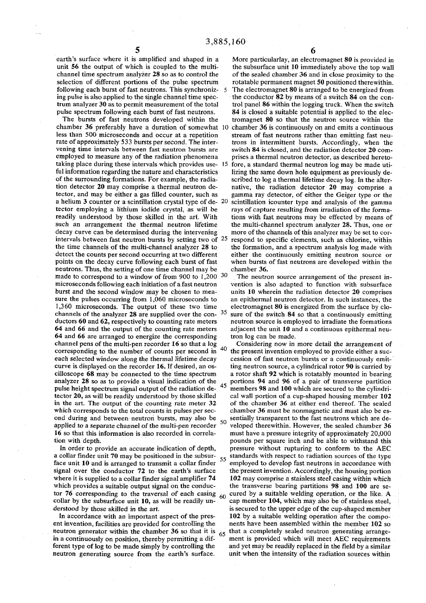selection of different portions of the pulse spectrum rotatable permanent magnet 50 positioned therewithin. ing pulse is also applied to the single channel time spec-<br>trum analyzer 30 as to permit measurement of the total

chamber 36 preferably have a duration of somewhat 10 chamber 36 is continuously on and emits a continuous less than 500 microseconds and occur at a repetition stream of fast neutrons rather than emitting fast neutaking place during these intervals which provides use- 15 fore, a standard thermal neutron log may be made utineutrons. Thus, the setting of one time channel may be chamber 36. made to correspond to a window of from 900 to  $1,200^{-30}$ 64 and 66 and the output of the counting rate meters adjacent the unit 10 and a continuous epithermal neu-64 and 66 are arranged to energize the corresponding tron log can be made. channel pens of the multi-pen recorder 16 so that a log Considering now in more detail the arrangement of corresponding to the number of counts per second in pulse height spectrum signal output of the radiation deond during and between neutron bursts, may also be 50

**5 6** 

earth's surface where it is amplified and shaped in a More particularlay, an electromagnet 80 is provided in unit 56 the output of which is coupled to the multi-<br>the subsurface unit 10 immediately above the top wall the subsurface unit 10 immediately above the top wall channel time spectrum analyzer 28 so as to control the of the sealed chamber 36 and in close proximity to the following each burst of fast neutrons. This synchroniz- 5 The electromagnet 80 is arranged to be energized from ing pulse is also applied to the single channel time spec-<br>the conductor 82 by means of a switch 84 on the con trol panel 86 within the logging truck. When the switch pulse spectrum following each burst of fast neutrons. 84 is closed a suitable potential is applied to the elec-The bursts of fast neutrons developed within the tromagnet 80 so that the neutron source within the

- rate of approximately 533 bursts per second. The inter-<br>vening time intervals between fast neutron bursts are switch 84 is closed, and the radiation detector 20 comvening time intervals between fast neutron bursts are switch 84 is closed, and the radiation detector 20 com-<br>employed to measure any of the radiation phenomena prises a thermal neutron detector, as described heretoprises a thermal neutron detector, as described hereto-
- ful information regarding the nature and characteristics lizing the same down hole equipment as previously de-<br>of the surrounding formations. For example, the radia-<br>scribed to log a thermal lifetime decay log. In the alte scribed to log a thermal lifetime decay log. In the altertion detector 20 may comprise a thermal neutron de- native, the radiation detector 20 may comprise a lector, and may be either a gas filled counter, such as gamma ray detector, of either the Geiger type or the a helium 3 counter or a scintillation crystal type of de- 20 scintillation icounter type and analysis of the gamma tector employing a lithium iodide crystal, as will be rays of capture resulting from irradiation of the formareadily understood by those skilled in the art. With tions with fast neutrons may be effected by means of such an arrangement the thermal neutron lifetime the multi-channel spectrum analyzer 28. Thus, one or decay curve can be determined during the intervening more of the channels of this analyzer may be set to corintervals between fast neutron bursts by setting two of 25 respond to specific elements, such as chlorine, within the time channels of the multi-channel analyzer 28 to the formation, and a spectrum analysis log made with detect the counts per second occurring at two different either the continuously emitting neutron source or points on the decay curve following each burst of fast when bursts of fast neutrons are developed within the

The neutron source arrangement of the present inmicroseconds following each initiation of a fast neutron vention is also adapted to function with subsurface burst and the second window may be chosen to mea- units 10 wherein the radiation detector 20 comprises sure the pulses occurring from 1,060 microseconds to an epithermal neutron detector. In such instances, the 1,360 microseconds. The output of these two time electromagnet 80 is energized from the surface by clochannels of the analyzer 28 are supplied over the con- $35$  sure of the switch 84 so that a continuously emitting ductors 60 and 62, respectively to counting rate meters neutron source is employed to irradiate the formations

40 the present invention employed to provide either a suceach selected window along the thermal lifetime decay cession of fast neutron bursts or a continuously emitcurve is displayed on the recorder 16. If desired, an os- ting neutron source, a cylindrical rotor 90 is carried by cilloscope 68 may be connected to the time spectrum a rotor shaft 92 which is rotatably mounted in bearing analyzer 28 so as to provide a visual indication of the portions 94 and 96 of a pair of transverse partition pulse height spectrum signal output of the radiation de- $45$  members 98 and 100 which are secured to the cylindr tector 20, as will be readily understood by those skilled cal wall portion of a cup-shaped housing member 102 in the art. The output of the counting rate meter 32 of the chamber 36 at either end thereof. The sealed which corresponds to the total counts in pulses per sec-<br>only and be nonmagnetic and must also be es-<br>ond during and between neutron bursts, may also be  $\epsilon$  sentially transparent to the fast neutrons which are deapplied to a separate channel of the multi-pen recorder  $\frac{30}{10}$  veloped therewithin. However, the sealed chamber 36 16 so that this information is also recorded in correla- must have a pressure integrity of approximately 20,000 tion with depth. pounds per square inch and be able to withstand this In order to provide an accurate indication of depth, pressure without rupturing to conform to the AEC a collar finder unit 70 may be positioned in the subsur-  $55$  standards with respect to radiation sources of the type face unit 10 and is arranged to transmit a collar finder  $\frac{1}{2}$  employed to develop fast neutrons in accordance with signal over the conductor 72 to the earth's surface the present invention. Accordingly, the housing portion where it is supplied to a collar finder signal amplifier 74 102 may comprise a stainless steel casing within which which provides a suitable output signal on the conduc- the transverse bearing partitions 98 and 100 are setor 76 corresponding to the traversal of each casing  $60$  cured by a suitable welding operation, or the like. A collar by the subsurface unit 10, as will be readily un- $\sim$  cap member 104, which may also be of stainless steel, derstood by those skilled in the art. is secured to the upper edge of the cup-shaped member In accordance with an important aspect of the pres- 102 by a suitable welding operation after the compoent invention, facilities are provided for controlling the nents have been assembled within the member 102 so neutron generator within the chamber 36 so that it is  $65$  that a completely sealed neutron generating arrangein a continuously on position, thereby permitting a dif-  $\sim$  ment is provided which will meet AEC requirements ferent type of log to be made simply by controlling the and yet may be readily replaced in the field by a similar neutron generating source from the earth's surface. unit when the intensity of the radiation sources within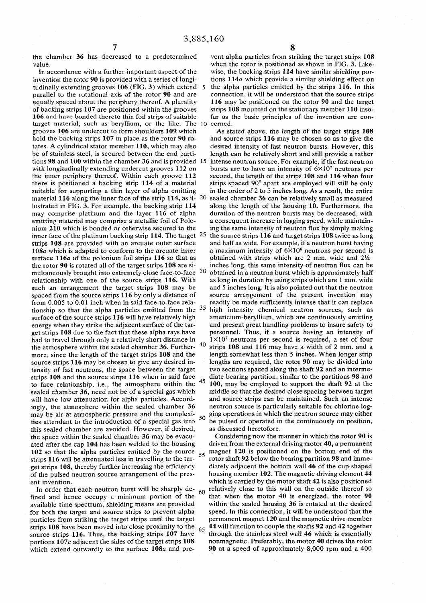7 the chamber 36 has decreased to a predetermined value.

In accordance with a further important aspect of the invention the rotor 90 is provided with a series of longitudinally extending grooves 106 (FIG. 3) which extend 5 parallel to the rotational axis of the rotor 90 and are equally spaced about the periphery thereof. A plurality of backing strips 107 are positioned within the grooves 106 and have bonded thereto thin foil strips of suitable target material, such as beryllium, or the like. The 10 cerned. grooves 106 are undercut to form shoulders 109 which hold the backing strips 107 in place as the rotor 90 rotates. A cylindrical stator member 110, which may also be of stainless steel, is secured between the end partitions 98 and 100 within the chamber 36 and is provided 15 with longitudinally extending undercut grooves 112 on the inner periphery thereof. Within each groove 112 there is positioned a backing strip 114 of a material suitable' for supporting a thin layer of alpha emitting material 116 along the inner face of the strip 114, as il-20 lustrated in FIG. 3. For example, the backing strip 114 may comprise platinum and the layer 116 of alpha emitting material may comprise a metallic foil of Polonium 210 which is bonded or otherwise secured to the inner face of the platinum backing strip 114. The target  $25$ strips 108 are provided with an arcuate outer surface 108a which is adapted to conform to the arcuate inner surface 116a of the polonium foil strips 116 so that as the rotor 90 is rotated all of the target strips 108 are simultaneously brought into extremely close face-to-face 30 relationship with one of the source strips 116. With such an arrangement the target strips 108 may be spaced from the source strips 116 by only a distance of from 0.005 to 0.01 inch when in said face-to-face relationship so that the alpha particles emitted from the  $35$ surface of the source strips 116 will have relatively high energy when they strike the adjacent surface of the target strips 108 due to the fact that these alpha rays have had to travel through only a relatively short distance in the atmosphere within the sealed chamber 36. Furthermore, since the length of the target strips 108 and the source strips 116 may be chosen to give any desired intensity of fast neutrons, the space between the target strips 108 and the source strips 116 when in said face to face relationship, i.e., the atmosphere within the sealed chamber 36, need not be of a special gas which will have low attenuation for alpha particles. Accordingly, the atmosphere within the sealed chamber 36 may be air at atmospheric pressure and the complexities attendant to the introduction of a special gas into  $50$ this sealed chamber are avoided. However, if desired, the space within the sealed chamber 36 may be evacuated after the cap 104 has been welded to the housing 102 so that the alpha particles emitted by the source strips 116 will be attenuated less in travelling to the target strips 108, thereby further increasing the efficiency of the pulsed neutron source arrangement of the present invention. 40 45 55

In order that each neutron burst will be sharply defined and hence occupy a minimum portion of the available time spectrum, shielding means are provided for both the target and source strips to prevent alpha particles from striking the target strips until the target strips 108 have been moved into close proximity to the source strips 116. Thus, the backing strips 107 have portions 107a adjacent the sides of the target strips 108 which extend outwardly to the surface 108a and pre-60 65

vent alpha particles from striking the target strips 108 when the rotor is positioned as shown in FIG. 3. Likewise, the backing strips 114 have similar shielding portions 114a which provide a similar shielding effect on the alpha particles emitted by the strips 116. In this connection, it will be understood that the source strips 116 may be positioned on the rotor 90 and the target strips 108 mounted on the stationary member 110 insofar as the basic principles of the invention are con-

As stated above, the length of the target strips 108 and source strips 116 may be chosen so as to give the desired intensity of fast neutron bursts. However, this length can be relatively short and still provide a rather intense neutron source. For example, if the fast neutron bursts are to have an intensity of  $6 \times 10^7$  neutrons per second, the length of the strips 108 and 116 when four strips spaced 90° apart are employed will still be only in the order of 2 to 3 inches long. As a result, the entire sealed chamber 36 can be relatively small as measured along the length of the housing 10. Furthermore, the duration of the neutron bursts may be decreased, with a consequent increase in logging speed, while maintaining the same intensity of neutron flux by simply making the source strips 116 and target strips 108 twice as long and half as wide. For example, if a neutron burst having a maximum intensity of  $6\times10^6$  neutrons per second is obtained with strips which are 2 mm. wide and  $2\frac{1}{2}$ inches long, this same intensity of neutron flux can be obtained in a neutron burst which is approximately half as long in duration by using strips which are 1 mm. wide and 5 inches long. It is also pointed out that the neutron source arrangement of the present invention may readily be made sufficiently intense that it can replace high intensity chemical neutron sources, such as americium-beryllium, which are continuously emitting and present great handling problems to insure safety to personnel. Thus, if a source having an intensity of  $1 \times 10^7$  neutrons per second is required, a set of four strips 108 and 116 may have a width of 2 mm. and a length somewhat less than 5 inches. When longer strip lengths are required, the rotor 90 may be divided into two sections spaced along the shaft 92 and an intermediate bearing partition, similar to the partitions 98 and 100, may be employed to support the shaft 92 at the middle so that the desired close spacing between target and source strips can be maintained. Such an intense neutron source is particularly suitable for chlorine logging operations in which the neutron source may either be pulsed or operated in the continuously on position, as discussed heretofore.

Considering now the manner in which the rotor 90 is driven from the external driving motor 40, a permanent magnet 120 is positioned on the bottom end of the rotor shaft 92 below the bearing partition 98 and immediately adjacent the bottom wall 46 of the cup-shaped housing member 102. The magnetic driving element 44 which is carried by the motor shaft 42 is also positioned relatively close to this wall on the outside thereof so that when the motor 40 is energized, the rotor 90 within the sealed housing 36 is rotated at the desired speed. In this connection, it will be understood that the permanent magnet 120 and the magnetic drive member 44 will function to couple the shafts 92 and 42 together through the stainless steel wall 46 which is essentially nonmagnetic. Preferably, the motor 40 drives the rotor 90 at a speed of approximately 8,000 rpm and a 400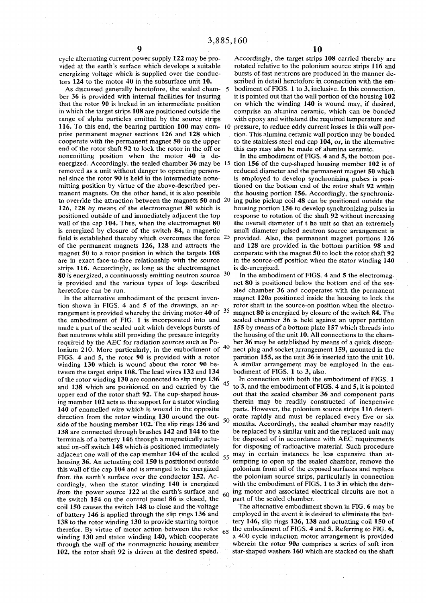cycle alternating current power supply 122 may be provided at the earth's surface which develops a suitable energizing voltage which is supplied over the conductors 124 to the motor 40 in the subsurface unit 10.

As discussed generally heretofore, the sealed chamber 36 is provided with internal facilities for insuring that the rotor 90 is locked in an intermediate position in which the target strips 108 are positioned outside the range of alpha particles emitted by the source strips 116. To this end, the bearing partition 100 may comprise permanent magnet sections 126 and 128 which cooperate with the permanent magnet 50 on the upper end of the rotor shaft 92 to lock the rotor in the off or nonemitting position when the motor 40 is deremoved as a unit without danger to operating personnel since the rotor 90 is held in the intermediate nonemitting position by virtue of the above-described permanent magnets. On the other hand, it is also possible to override the attraction between the magnets 50 and 20 126, 128 by means of the electromagnet 80 which is positioned outside of and immediately adjacent the top wall of the cap 104. Thus, when the electromagnet 80 is energized by closure of the switch 84, a magnetic field is established thereby which overcomes the force <sup>25</sup> of the permanent magnets 126, 128 and attracts the magnet 50 to a rotor position in which the targets 108 are in exact face-to-face relationship with the source strips 116. Accordingly, as long as the electromagnet **80** is energized, a continuously emitting neutron source  $30$ is provided and the various types of logs described heretofore can be run.

In the alternative embodiment of the present invention shown in FIGS. 4 and 5 of the drawings, an arrangement is provided whereby the driving motor 40 of  $35$ the embodiment of FIG. 1 is incorporated into and made a part of the sealed unit which develops bursts of fast neutrons while still providing the pressure integrity requireid by the AEC for radiation sources such as Polonium 210. More particularly, in the embodiment of  $40$ FIGS. 4 and 5, the rotor 90 is provided with a rotor winding 130 which is wound about the rotor 90 between the target strips 108. The lead wires 132 and 134 of the rotor winding 130 are connected to slip rings 136 and 138 which are positioned on and carried by the upper end of the rotor shaft 92. The cup-shaped housing member 102 acts as the support for a stator winding 140 of enamelled wire which is wound in the opposite direction from the rotor winding 130 around the outside of the housing member 102. The slip rings 136 and 138 are connected through brushes 142 and 144 to the terminals of a battery 146 through a magnetically actuated on-off switch 148 which is positioned immediately adjacent one wall of the cap member 104 of the sealed housing 36. An actuating coil 150 is positioned outside this wall of the cap 104 and is arranged to be energized from the earth's surface over the conductor 152. Accordingly, when the stator winding 140 is energized from the power source 122 at the earth's surface and the switch 154 on the control panel 86 is closed, the coil 150 causes the switch 148 to close and the voltage of battery 146 is applied through the slip rings 136 and 138 to the rotor winding 130 to provide starting torque therefor. By virtue of motor action between the rotor winding 130 and stator winding 140, which cooperate through the wall of the nonmagnetic housing member 102, the rotor shaft 92 is driven at the desired speed.

Accordingly, the target strips 108 carried thereby are rotated relative to the polonium source strips 116 and bursts of fast neutrons are produced in the manner described in detail heretofore in connection with the embodiment of FIGS. 1 to 3, inclusive. In this connection, it is pointed out that the wall portion of the housing 102 on which the winding 140 is wound may, if desired, comprise an alumina ceramic, which can be bonded with epoxy and withstand the required temperature and pressure, to reduce eddy current losses in this wall portion. This alumina ceramic wall portion may be bonded to the stainless steel end cap 104, or, in the alternative

energized. Accordingly, the sealed chamber 36 may be  $15$  tion 156 of the cup-shaped housing member 102 is of this cap may also be made of alumina ceramic. In the embodiment of FIGS. 4 and 5, the bottom porreduced diameter and the permanent magnet 50 which is employed to develop synchronizing pulses is positioned on the bottom end of the rotor shaft 92 within the housing portion 156. Accordingly, the synchronizing pulse pickup coil 48 can be positioned outside the housing portion 156 to develop synchronizing pulses in response to rotation of the shaft 92 without increasing the overall diameter of t he unit so that an extremely small diameter pulsed neutron source arrangement is 25 provided. Also, the permanent magnet portions 126 and 128 are provided in the bottom partition 98 and cooperate with the magnet 50 to lock the rotor shaft 92 in the source-off position when the stator winding 140 is de-energized.

> In the embodiment of FIGS. 4 and 5 the electromagnet 80 is positioned below the bottom end of the sesaled chamber 36 and cooperates with the permanent magnet 120a positioned inside the housing to lock the rotor shaft in the source-on position when the electromagnet 80 is energized by closure of the switch 84. The sealed chamber 36 is held against an upper partition 155 by means of a bottom plate 157 which threads into the housing of the unit 10. All connections to the chamber 36 may be established by means of a quick discon nect plug and socket arrangement 159, mounted in the partition 155, as the unit 36 is inserted into the unit 10. A similar arrangement may be employed in the embodiment of FIGS. 1 to 3, also.

In connection with both the embodiment of FIGS. 1 45 to 3, and the embodiment of FIGS. 4 and 5, it is pointed out that the sealed chamber 36 and component parts therein may be readily constructed of inexpensive parts. However, the polonium source strips 116 deteri- $50$  orate rapidly and must be replaced every five or six months. Accordingly, the sealed chamber may readily be replaced by a similar unit and the replaced unit may be disposed of in accordance with AEC requirements for disposing of radioactive material. Such procedure  $\frac{1}{55}$  may in certain instances be less expensive than attempting to open up the sealed chamber, remove the polonium from all of the exposed surfaces and replace the polonium source strips, particularly in connection with the embodiment of FIGS. 1 to 3 in which the driv- $60$  ing motor and associated electrical circuits are not a part of the sealed chamber.

The alternative embodiment shown in FIG. 6 may be employed in the event it is desired to eliminate the battery 146, slip rings 136, 138 and actuating coil 150 of  $65$  the embodiment of FIGS. 4 and 5. Referring to FIG. 6, a 400 cycle induction motor arrangement is provided wherein the rotor 90a comprises a series of soft iron star-shaped washers 160 which are stacked on the shaft

 $\mathcal{O}(\mathbb{R}^2)$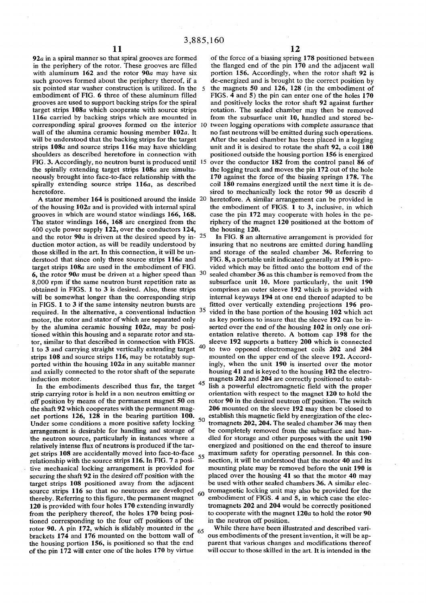$92a$  in a spiral manner so that spiral grooves are formed in the periphery of the rotor. These grooves are filled with aluminum 162 and the rotor 90a may have six such grooves formed about the periphery thereof, if a six pointed star washer construction is utilized. In the 5 embodiment of FIG. 6 three of these aluminum filled grooves are used to support backing strips for the spiral target strips 108a which cooperate with source strips 116a carried by backing strips which are mounted in corresponding spiral grooves formed on the interior wall of the alumina ceramic housing member  $102a$ . It will be understood that the backing strips for the target strips 108a and source strips 116a may have shielding shoulders as described heretofore in connection with FIG. 3. Accordingly, no neutron burst is produced until 15 the spirally extending target strips 108a are simultaneously brought into face-to-face relationship with the spirally extending source strips 116a, as described heretofore.

A stator member  $164$  is positioned around the inside  $20$ of the housing 102a and is provided with internal spiral grooves in which are wound stator windings 166, 168. The stator windings 166, 168 are energized from the 400 cycle power supply 122, over the conductors 124, and the rotor 90 $a$  is driven at the desired speed by in-  $25$ duction motor action, as will be readily understood by those skilled in the art. In this connection, it will be understood that since only three source strips  $116a$  and target strips 108a are used in the embodiment of FIG. 6, the rotor  $90a$  must be driven at a higher speed than  $30$ 8,000 rpm if the same neutron burst repetition rate as obtained in FIGS. 1 to 3 is desired. Also, these strips will be somewhat longer than the corresponding strip in FIGS. 1 to 3 if the same intensity neutron bursts are required. In the alternative, a conventional induction motor, the rotor and stator of which are separated only by the alumina ceramic housing  $102a$ , may be positioned within this housing and a separate rotor and stator, similar to that described in connection with FIGS. 1 to 3 and carrying straight vertically extending target <sup>40</sup> strips 108 and source strips 116, may be rotatably supported within the housing  $102a$  in any suitable manner and axially connected to the rotor shaft of the separate induction motor.

5 In the embodiments described thus far, the target strip carrying rotor is held in a non neutron emitting or off position by means of the permanent magnet 50 on the shaft 92 which cooperates with the permanent magnet portions 126, 128 in the bearing partition 100. 50 Under some conditions a more positive safety locking arrangement is desirable for handling and storage of the neutron source, particularly in instances where a relatively intense flux of neutrons is produced if the target strips 108 are accidentally moved into face-to-face relationship with the source strips 116. In FIG. 7 a positive mechanical locking arrangement is provided for securing the shaft 92 in the desired off position with the target strips 108 positioned away from the adjacent source strips 116 so that no neutrons are developed thereby. Referring to this figure, the permanent magnet 120 is provided with four holes 170 extending inwardly from the periphery thereof, the holes 170 being positioned corresponding to the four off positions of the rotor 90. A pin 172, which is slidably mounted in the 65 brackets 174 and 176 mounted on the bottom wall of the housing portion 156, is positioned so that the end of the pin 172 will enter one of the holes 170 by virtue

of the force of a biasing spring 178 positioned between the flanged end of the pin 170 and the adjacent wall portion 156. Accordingly, when the rotor shaft 92 is de-energized and is brought to the correct position by the magnets 50 and 126, 128 (in the embodiment of FIGS. 4 and 5) the pin can enter one of the holes 170 and positively locks the rotor shaft 92 against further rotation. The sealed chamber may then be removed from the subsurface unit 10, handled and stored be tween logging operations with complete assurance that no fast neutrons will be emitted during such operations. After the sealed chamber has been placed in a logging unit and it is desired to rotate the shaft 92, a coil 180 positioned outside the housing portion 156 is energized 5 over the conductor 182 from the control panel 86 of the logging truck and moves the pin 172 out of the hole 170 against the force of the biasing springn 178. The coil 180 remains energized until the next time it is desired to mechanically lock the rotor 90 as describ d heretofore. A similar arrangement can be provided in the embodiment of FIGS. 1 to 3, inclusive, in which case the pin 172 may cooperate with holes in the periphery of the magnet 120 positioned at the bottom of the housing 120.

 In FIG. 8 an alternative arrangement is provided for insuring that no neutrons are emitted during handling and storage of the sealed chamber 36. Referring to FIG. 8, a portable unit indicated generally at 190 is provided which may be fitted onto the bottom end of the sealed chamber 36 as this chamber is removed from the subsurface unit 10. More particularly, the unit 190 comprises an outer sleeve 192 which is provided with internal keyways 194 at one end thereof adapted to be fitted over vertically extending projections 196 provided in the base portion of the housing 102 which act as key portions to insure that the sleeve 192 can be inserted over the end of the housing 102 in only one orientation relative thereto. A bottom cap 198 for the sleeve 192 supports a battery 200 which is connected to two opposed electromagnet coils 202 and 204 mounted on the upper end of the sleeve 192. Accordingly, when the unit 190 is inserted over the motor housing 41 and is keyed to the housing 102 the electromagnets 202 and 204 are correctly positioned to estab lish a powerful electromagnetic field with the proper orientation with respect to the magnet 120 to hold the rotor 90 in the desired neutron off position. The switch 206 mounted on the sleeve 192 may then be closed to establish this magnetic field by energization of the electromagnets 202, 204. The sealed chamber 36 may then be completely removed from the subsurface and handled for storage and other purposes with the unit 190 energized and positioned on the end thereof to insure 5 maximum safety for operating personnel. In this connection, it will be understood that the motor 40 and its mounting plate may be removed before the unit 190 is placed over the housing  $41$  so that the motor  $40$  may be used with other sealed chambers 36. A similar elec- $_{60}$  tromagnetic locking unit may also be provided for the embodiment of FIGS. 4 and 5, in which case the electromagnets 202 and 204 would be correctly positioned to cooperate with the magnet 120a to hold the rotor 90 in the neutron off position.

. While there have been illustrated and described vari- $\alpha$  invention and  $\alpha$  of the present invention, it will be approximately pas embournents or the present invention, it will be apparent that various changes and modifications thereof will occur to those skilled in the art. It is intended in the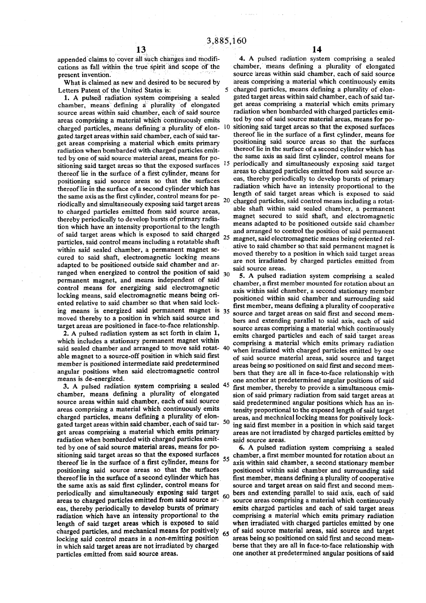cations as fall within the true spirit and scope of the

1. A pulsed radiation system comprising a sealed chamber, means defining a plurality of elongated gated target areas within said chamber, each of said tarted by one of said source material areas, means for positioning said target areas so that the exposed surfaces  $\frac{1}{2}$ . thereof lie in the surface of a first cylinder, means for positioning said source areas so that the surfaces to charged particles emitted from said source areas, thereby periodically to develop bursts of primary radia tion which have an intensity proportional to the length of said target areas which is exposed to said charged  $_{25-m}$ particles, said control means including a rotatable shaft cured to said shaft, electromagnetic locking means  $\frac{1}{2}$  are not irradiated by ranged when energized to control the position of said  $\frac{30}{10}$  Tpuked ranged when energized to control the position of said  $\frac{30}{10}$  Tpuked ranged permanent magnet, and means independent of said ented relative to said chamber so that when said lock-

member is positioned intermediate said predetermined<br>angular positions when said electromagnetic control

gated target areas within said chamber, each of said tarradiation when bombarded with charged particles emit-<br>said source areas. ted by one of said source material areas, means for po-<br>6. A pulsed radiation system comprising a sealed charged particles, and mechanical means for positively  $\frac{65}{2}$  of said source material areas, said source and target locking said control means in a non-emitting position  $\frac{65}{2}$  areas being so positioned on said fi in which said target areas are not irradiated by charged

appended claims to cover all such changes and modifi-<br>cations as fall within the true spirit and scope of the chamber, means defining a plurality of elongated present invention. Source areas within said chamber, each of said source What is claimed as new and desired to be secured by areas comprising a material which continuously emits<br>Letters Patent of the United States is: 5 charged particles, means defining a plurality of eloncharged particles, means defining a plurality of elon-<br>gated target areas within said chamber, each of said target areas comprising a material which emits primary radiation when bombarded with charged particles emitsource areas within said chamber, each of said source radiation when bombarded with charged particles emit-<br>areas comprising a material which continuously emits ted by one of said source material areas, means for poareas comprising a material which continuously emits ted by one of said source material areas, means for po-<br>charged particles, means defining a phirality of elon- 10 sitioning said target areas so that the exposed surface charged particles, means defining a plurality of elon- 10 sitioning said target areas so that the exposed surfaces pated target areas within said chamber, each of said tar-<br>thereof lie in the surface of a first cylinder, m get areas comprising a material which emits primary positioning said source areas so that the surfaces radiation when hombarded with charged particles emit-<br>thereof lie in the surface of a second cylinder which has radiation when bombarded with charged particles emit-<br>the same axis as said first cylinder, control means for<br>the same axis as said first cylinder, control means for periodically and simultaneously exposing said target areas to charged particles emitted from said source areas, thereby periodically to develop bursts of primary thereof lie in the surface of a second cylinder which has radiation which have an intensity proportional to the the same axis as the first cylinder control means for ne-<br>the same axis as the first cylinder control means fo the same axis as the first cylinder, control means for pe- " length of said target areas which is exposed to said riodically and simultaneously exposing said target areas <sup>20</sup> charged particles, said control means including a rotat-<br>able shaft within said sealed chamber, a permanent uin said sealed chamber, a permanent magnet secured to said shaft, and electromagnetic means adapted to be positioned outside said chamber and arranged to control the position of said permanent agnet, said electromagnetic means being oriented relparticles, said control means including a rotataole share ative to said chamber so that said permanent magnet is within said sealed chamber, a permanent magnet semoved thereby to a position in which said target areas are not irradiated by charged particles emitted from extrement to the state state, we have a state of the said source areas are not irradiated by charged particles emitted from adapted to be positioned outside said chamber and ar-

5. A pulsed radiation system comprising a sealed chamber, a first member mounted for rotation about an control means for energizing said electromagnetic axis within said chamber, a second stationary member locking means, said electromagnetic means being ori-<br>positioned within said chamber and surrounding said first member, means defining a plurality of cooperative ing means is energized said permanent magnet is 35 source and target areas on said first and second memmoved thereby to a position in which said source and<br>target areas on said axis, each of said<br>target areas are positioned in face-to-face relationship. rget areas are positioned in face-to-face relationship.<br>2. A pulsed radiation system as set forth in claim 1, emits charged particles and each of said target areas emits charged particles and each of said target areas which includes a stationary permanent magnet within<br>said sealed chamber and arranged to move said rotat- 40 when irradiated with charged particles emitted by one said sealed chamber and arranged to move said rotat- 40 when irradiated with charged particles emitted by one<br>able magnet to a source-off position in which said first<br>of said source material areas, said source and target of said source-material areas, said source and target areas being so positioned on said first and second memangular positions when said electromagnetic control bers that they are all in face-to-face relationship with means is de-energized.<br>One another at predetermined anoular positions of said eans is de-energized.<br>3. A pulsed radiation system comprising a sealed  $45$  first member, thereby to provide a simultaneous emis-3. A pulsed radiation system comprising a sealed <sup>45</sup> first member, thereby to provide a simultaneous emis-<br>chamber, means defining a plurality of elongated sion of said primary radiation from said target areas at chamber, means defining a plurality of elongated sion of said primary radiation from said target areas at source areas within said chamber, each of said source said predetermined angular positions which has an insource areas within said chamber, each of said source said predetermined angular positions which has an in-<br>areas comprising a material which continuously emits tensity proportional to the exnosed length of said target areas comprising a material which continuously emits tensity proportional to the exposed length of said target<br>charged particles, means defining a plurality of elon-streas, and mechnical locking means for positively lockareas, and mechnical locking means for positively locking said first member in a position in which said target get areas comprising a material which emits primary areas are not irradiated by charged particles emitted by

sitioning said target areas so that the exposed surfaces  $\epsilon$  chamber, a first member mounted for rotation about an thereof lie in the surface of a first cylinder, means for  $55$  axis within said chamber, a second stationary member positioning said source areas so that the surfaces positioned within said chamber and surrounding said thereof lie in the surface of a second cylinder which has first member, means defining a plurality of cooperative<br>the same axis as said first cylinder, control means for source and target areas on said first and second mem source and target areas on said first and second memperiodically and simultaneously exposing said target  $\epsilon_0$  bers and extending parallel to said axis, each of said areas to charged particles emitted from said source  $ar - \frac{1}{2}$  source areas comprising a material which continuously eas, thereby periodically to develop bursts of primary emits charged particles and each of said target areas radiation which have an intensity proportional to the comprising a material which emits primary radiation length of said target areas which is exposed to said when irradiated with charged particles emitted by one charged particles. and mechanical means for positively  $\epsilon$  of said source material areas, said source and target locking said control means in a non-emitting position <sup>arear</sup> areas being so positioned on said first and second mem-<br>in which said target areas are not irradiated by charged berse that they are all in face-to-face relatio particles emitted from said source areas. one another at predetermined angular positions of said